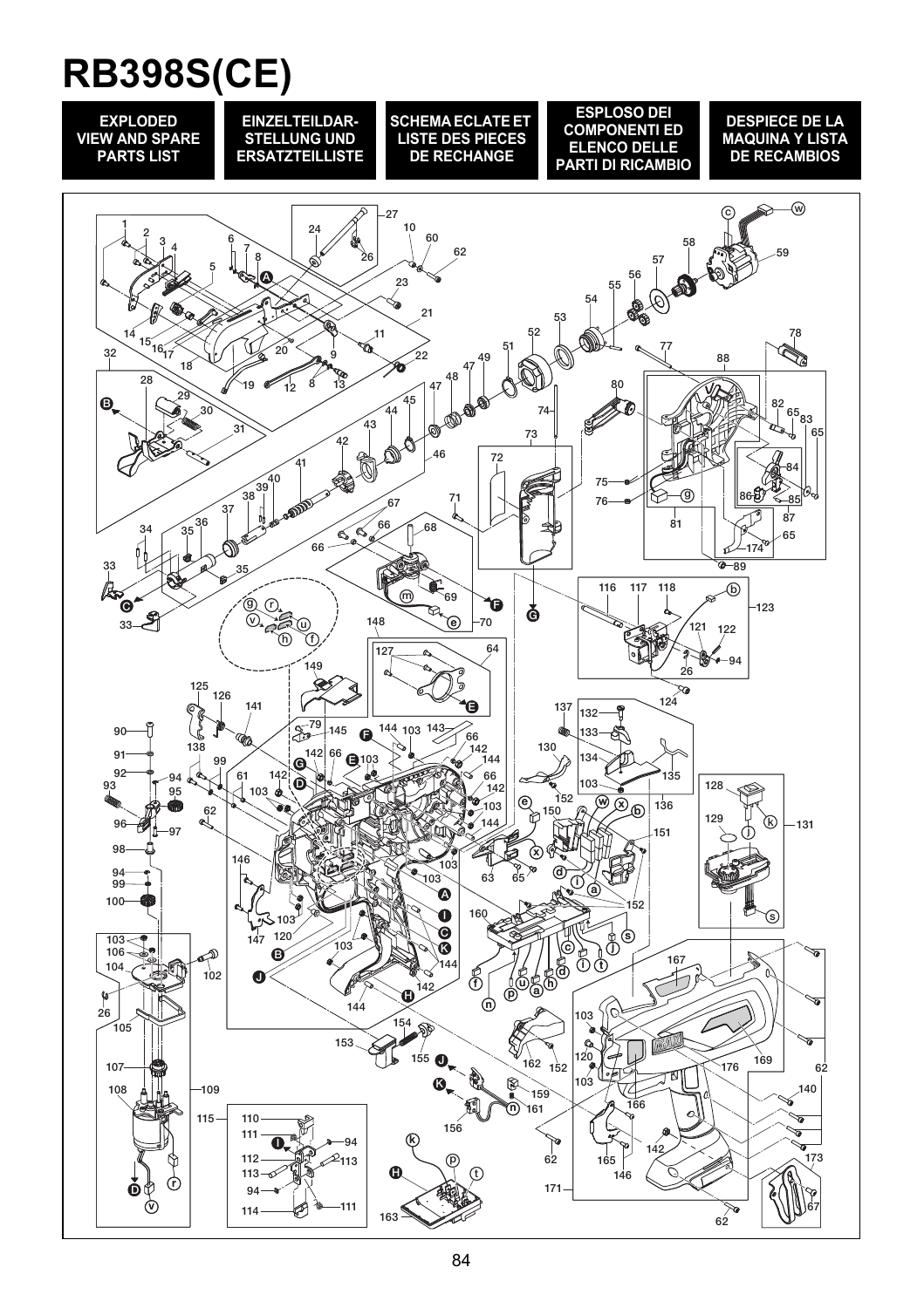## **RB398S(CE)**